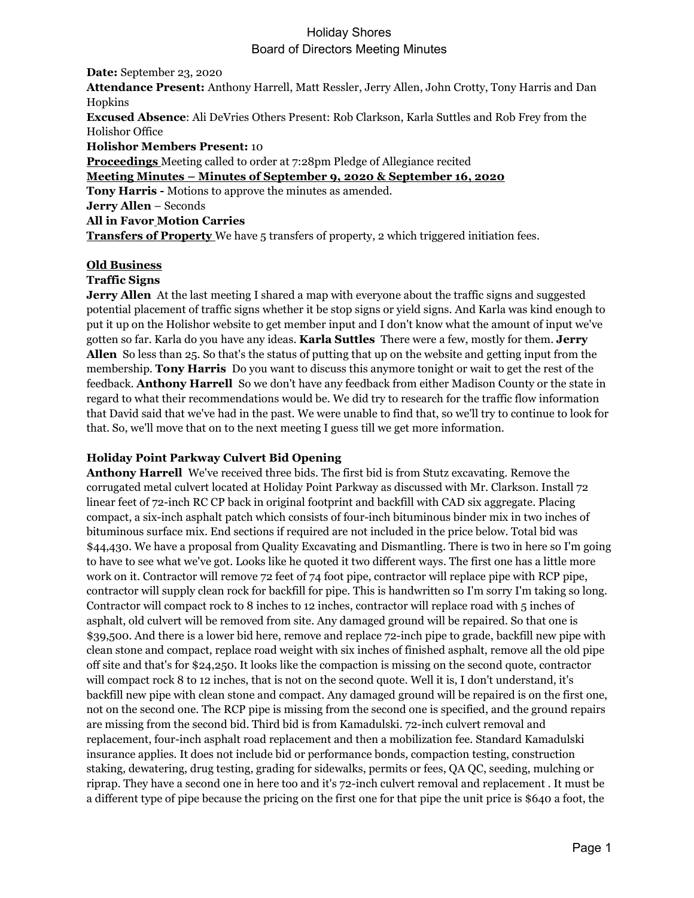**Date:** September 23, 2020 **Attendance Present:** Anthony Harrell, Matt Ressler, Jerry Allen, John Crotty, Tony Harris and Dan Hopkins **Excused Absence**: Ali DeVries Others Present: Rob Clarkson, Karla Suttles and Rob Frey from the Holishor Office **Holishor Members Present:** 10 **Proceedings** Meeting called to order at 7:28pm Pledge of Allegiance recited **Meeting Minutes – Minutes of September 9, 2020 & September 16, 2020 Tony Harris -** Motions to approve the minutes as amended. **Jerry Allen** – Seconds **All in Favor Motion Carries Transfers of Property** We have 5 transfers of property, 2 which triggered initiation fees.

### **Old Business**

### **Traffic Signs**

**Jerry Allen** At the last meeting I shared a map with everyone about the traffic signs and suggested potential placement of traffic signs whether it be stop signs or yield signs. And Karla was kind enough to put it up on the Holishor website to get member input and I don't know what the amount of input we've gotten so far. Karla do you have any ideas. **Karla Suttles** There were a few, mostly for them. **Jerry Allen** So less than 25. So that's the status of putting that up on the website and getting input from the membership. **Tony Harris** Do you want to discuss this anymore tonight or wait to get the rest of the feedback. **Anthony Harrell** So we don't have any feedback from either Madison County or the state in regard to what their recommendations would be. We did try to research for the traffic flow information that David said that we've had in the past. We were unable to find that, so we'll try to continue to look for that. So, we'll move that on to the next meeting I guess till we get more information.

### **Holiday Point Parkway Culvert Bid Opening**

**Anthony Harrell** We've received three bids. The first bid is from Stutz excavating. Remove the corrugated metal culvert located at Holiday Point Parkway as discussed with Mr. Clarkson. Install 72 linear feet of 72-inch RC CP back in original footprint and backfill with CAD six aggregate. Placing compact, a six-inch asphalt patch which consists of four-inch bituminous binder mix in two inches of bituminous surface mix. End sections if required are not included in the price below. Total bid was \$44,430. We have a proposal from Quality Excavating and Dismantling. There is two in here so I'm going to have to see what we've got. Looks like he quoted it two different ways. The first one has a little more work on it. Contractor will remove 72 feet of 74 foot pipe, contractor will replace pipe with RCP pipe, contractor will supply clean rock for backfill for pipe. This is handwritten so I'm sorry I'm taking so long. Contractor will compact rock to 8 inches to 12 inches, contractor will replace road with 5 inches of asphalt, old culvert will be removed from site. Any damaged ground will be repaired. So that one is \$39,500. And there is a lower bid here, remove and replace 72-inch pipe to grade, backfill new pipe with clean stone and compact, replace road weight with six inches of finished asphalt, remove all the old pipe off site and that's for \$24,250. It looks like the compaction is missing on the second quote, contractor will compact rock 8 to 12 inches, that is not on the second quote. Well it is, I don't understand, it's backfill new pipe with clean stone and compact. Any damaged ground will be repaired is on the first one, not on the second one. The RCP pipe is missing from the second one is specified, and the ground repairs are missing from the second bid. Third bid is from Kamadulski. 72-inch culvert removal and replacement, four-inch asphalt road replacement and then a mobilization fee. Standard Kamadulski insurance applies. It does not include bid or performance bonds, compaction testing, construction staking, dewatering, drug testing, grading for sidewalks, permits or fees, QA QC, seeding, mulching or riprap. They have a second one in here too and it's 72-inch culvert removal and replacement . It must be a different type of pipe because the pricing on the first one for that pipe the unit price is \$640 a foot, the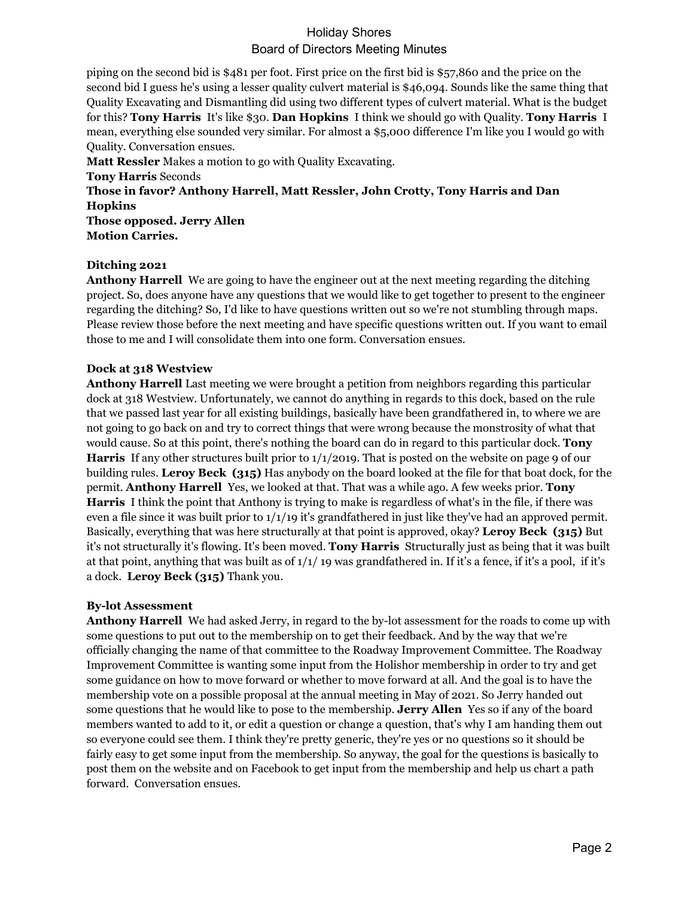piping on the second bid is \$481 per foot. First price on the first bid is \$57,860 and the price on the second bid I guess he's using a lesser quality culvert material is \$46,094. Sounds like the same thing that Quality Excavating and Dismantling did using two different types of culvert material. What is the budget for this? **Tony Harris** It's like \$30. **Dan Hopkins** I think we should go with Quality. **Tony Harris** I mean, everything else sounded very similar. For almost a \$5,000 difference I'm like you I would go with Quality. Conversation ensues.

**Matt Ressler** Makes a motion to go with Quality Excavating. **Tony Harris** Seconds **Those in favor? Anthony Harrell, Matt Ressler, John Crotty, Tony Harris and Dan Hopkins Those opposed. Jerry Allen Motion Carries.**

### **Ditching 2021**

**Anthony Harrell** We are going to have the engineer out at the next meeting regarding the ditching project. So, does anyone have any questions that we would like to get together to present to the engineer regarding the ditching? So, I'd like to have questions written out so we're not stumbling through maps. Please review those before the next meeting and have specific questions written out. If you want to email those to me and I will consolidate them into one form. Conversation ensues.

### **Dock at 318 Westview**

**Anthony Harrell** Last meeting we were brought a petition from neighbors regarding this particular dock at 318 Westview. Unfortunately, we cannot do anything in regards to this dock, based on the rule that we passed last year for all existing buildings, basically have been grandfathered in, to where we are not going to go back on and try to correct things that were wrong because the monstrosity of what that would cause. So at this point, there's nothing the board can do in regard to this particular dock. **Tony Harris** If any other structures built prior to 1/1/2019. That is posted on the website on page 9 of our building rules. **Leroy Beck (315)** Has anybody on the board looked at the file for that boat dock, for the permit. **Anthony Harrell** Yes, we looked at that. That was a while ago. A few weeks prior. **Tony Harris** I think the point that Anthony is trying to make is regardless of what's in the file, if there was even a file since it was built prior to  $1/1/19$  it's grandfathered in just like they've had an approved permit. Basically, everything that was here structurally at that point is approved, okay? **Leroy Beck (315)** But it's not structurally it's flowing. It's been moved. **Tony Harris** Structurally just as being that it was built at that point, anything that was built as of 1/1/ 19 was grandfathered in. If it's a fence, if it's a pool, if it's a dock. **Leroy Beck (315)** Thank you.

### **By-lot Assessment**

**Anthony Harrell** We had asked Jerry, in regard to the by-lot assessment for the roads to come up with some questions to put out to the membership on to get their feedback. And by the way that we're officially changing the name of that committee to the Roadway Improvement Committee. The Roadway Improvement Committee is wanting some input from the Holishor membership in order to try and get some guidance on how to move forward or whether to move forward at all. And the goal is to have the membership vote on a possible proposal at the annual meeting in May of 2021. So Jerry handed out some questions that he would like to pose to the membership. **Jerry Allen** Yes so if any of the board members wanted to add to it, or edit a question or change a question, that's why I am handing them out so everyone could see them. I think they're pretty generic, they're yes or no questions so it should be fairly easy to get some input from the membership. So anyway, the goal for the questions is basically to post them on the website and on Facebook to get input from the membership and help us chart a path forward. Conversation ensues.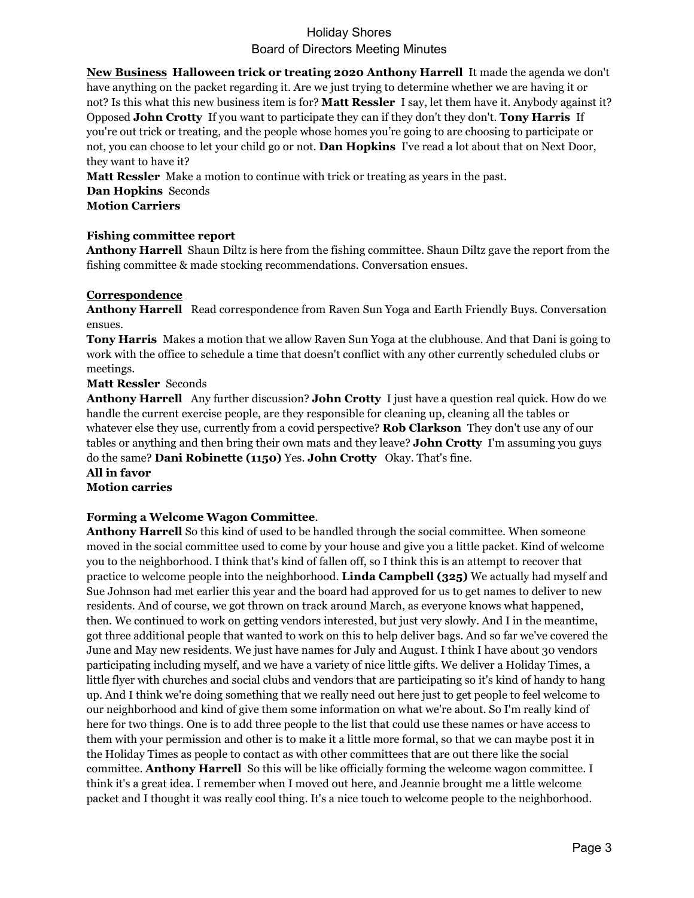**New Business Halloween trick or treating 2020 Anthony Harrell** It made the agenda we don't have anything on the packet regarding it. Are we just trying to determine whether we are having it or not? Is this what this new business item is for? **Matt Ressler** I say, let them have it. Anybody against it? Opposed **John Crotty** If you want to participate they can if they don't they don't. **Tony Harris** If you're out trick or treating, and the people whose homes you're going to are choosing to participate or not, you can choose to let your child go or not. **Dan Hopkins** I've read a lot about that on Next Door, they want to have it?

**Matt Ressler** Make a motion to continue with trick or treating as years in the past. **Dan Hopkins** Seconds **Motion Carriers**

### **Fishing committee report**

**Anthony Harrell** Shaun Diltz is here from the fishing committee. Shaun Diltz gave the report from the fishing committee & made stocking recommendations. Conversation ensues.

#### **Correspondence**

**Anthony Harrell** Read correspondence from Raven Sun Yoga and Earth Friendly Buys. Conversation ensues.

**Tony Harris** Makes a motion that we allow Raven Sun Yoga at the clubhouse. And that Dani is going to work with the office to schedule a time that doesn't conflict with any other currently scheduled clubs or meetings.

**Matt Ressler** Seconds

**Anthony Harrell** Any further discussion? **John Crotty** I just have a question real quick. How do we handle the current exercise people, are they responsible for cleaning up, cleaning all the tables or whatever else they use, currently from a covid perspective? **Rob Clarkson** They don't use any of our tables or anything and then bring their own mats and they leave? **John Crotty** I'm assuming you guys do the same? **Dani Robinette (1150)** Yes. **John Crotty** Okay. That's fine. **All in favor**

**Motion carries**

### **Forming a Welcome Wagon Committee**.

**Anthony Harrell** So this kind of used to be handled through the social committee. When someone moved in the social committee used to come by your house and give you a little packet. Kind of welcome you to the neighborhood. I think that's kind of fallen off, so I think this is an attempt to recover that practice to welcome people into the neighborhood. **Linda Campbell (325)** We actually had myself and Sue Johnson had met earlier this year and the board had approved for us to get names to deliver to new residents. And of course, we got thrown on track around March, as everyone knows what happened, then. We continued to work on getting vendors interested, but just very slowly. And I in the meantime, got three additional people that wanted to work on this to help deliver bags. And so far we've covered the June and May new residents. We just have names for July and August. I think I have about 30 vendors participating including myself, and we have a variety of nice little gifts. We deliver a Holiday Times, a little flyer with churches and social clubs and vendors that are participating so it's kind of handy to hang up. And I think we're doing something that we really need out here just to get people to feel welcome to our neighborhood and kind of give them some information on what we're about. So I'm really kind of here for two things. One is to add three people to the list that could use these names or have access to them with your permission and other is to make it a little more formal, so that we can maybe post it in the Holiday Times as people to contact as with other committees that are out there like the social committee. **Anthony Harrell** So this will be like officially forming the welcome wagon committee. I think it's a great idea. I remember when I moved out here, and Jeannie brought me a little welcome packet and I thought it was really cool thing. It's a nice touch to welcome people to the neighborhood.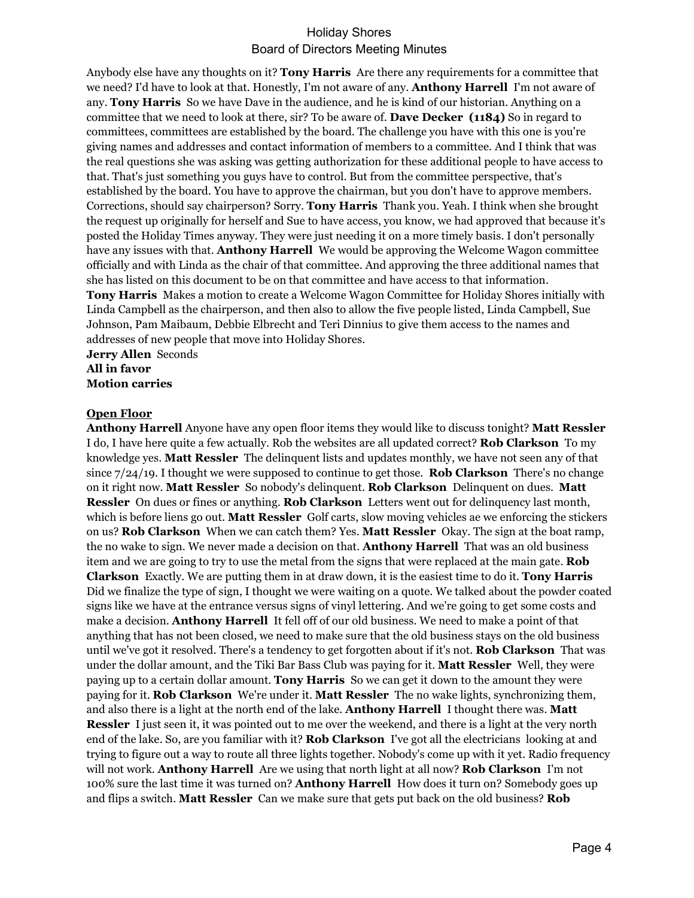Anybody else have any thoughts on it? **Tony Harris** Are there any requirements for a committee that we need? I'd have to look at that. Honestly, I'm not aware of any. **Anthony Harrell** I'm not aware of any. **Tony Harris** So we have Dave in the audience, and he is kind of our historian. Anything on a committee that we need to look at there, sir? To be aware of. **Dave Decker (1184)** So in regard to committees, committees are established by the board. The challenge you have with this one is you're giving names and addresses and contact information of members to a committee. And I think that was the real questions she was asking was getting authorization for these additional people to have access to that. That's just something you guys have to control. But from the committee perspective, that's established by the board. You have to approve the chairman, but you don't have to approve members. Corrections, should say chairperson? Sorry. **Tony Harris** Thank you. Yeah. I think when she brought the request up originally for herself and Sue to have access, you know, we had approved that because it's posted the Holiday Times anyway. They were just needing it on a more timely basis. I don't personally have any issues with that. **Anthony Harrell** We would be approving the Welcome Wagon committee officially and with Linda as the chair of that committee. And approving the three additional names that she has listed on this document to be on that committee and have access to that information. **Tony Harris** Makes a motion to create a Welcome Wagon Committee for Holiday Shores initially with

Linda Campbell as the chairperson, and then also to allow the five people listed, Linda Campbell, Sue Johnson, Pam Maibaum, Debbie Elbrecht and Teri Dinnius to give them access to the names and addresses of new people that move into Holiday Shores.

#### **Jerry Allen** Seconds **All in favor Motion carries**

### **Open Floor**

**Anthony Harrell** Anyone have any open floor items they would like to discuss tonight? **Matt Ressler**  I do, I have here quite a few actually. Rob the websites are all updated correct? **Rob Clarkson** To my knowledge yes. **Matt Ressler** The delinquent lists and updates monthly, we have not seen any of that since 7/24/19. I thought we were supposed to continue to get those. **Rob Clarkson** There's no change on it right now. **Matt Ressler** So nobody's delinquent. **Rob Clarkson** Delinquent on dues. **Matt Ressler** On dues or fines or anything. **Rob Clarkson** Letters went out for delinquency last month, which is before liens go out. **Matt Ressler** Golf carts, slow moving vehicles ae we enforcing the stickers on us? **Rob Clarkson** When we can catch them? Yes. **Matt Ressler** Okay. The sign at the boat ramp, the no wake to sign. We never made a decision on that. **Anthony Harrell** That was an old business item and we are going to try to use the metal from the signs that were replaced at the main gate. **Rob Clarkson** Exactly. We are putting them in at draw down, it is the easiest time to do it. **Tony Harris**  Did we finalize the type of sign, I thought we were waiting on a quote. We talked about the powder coated signs like we have at the entrance versus signs of vinyl lettering. And we're going to get some costs and make a decision. **Anthony Harrell** It fell off of our old business. We need to make a point of that anything that has not been closed, we need to make sure that the old business stays on the old business until we've got it resolved. There's a tendency to get forgotten about if it's not. **Rob Clarkson** That was under the dollar amount, and the Tiki Bar Bass Club was paying for it. **Matt Ressler** Well, they were paying up to a certain dollar amount. **Tony Harris** So we can get it down to the amount they were paying for it. **Rob Clarkson** We're under it. **Matt Ressler** The no wake lights, synchronizing them, and also there is a light at the north end of the lake. **Anthony Harrell** I thought there was. **Matt Ressler** I just seen it, it was pointed out to me over the weekend, and there is a light at the very north end of the lake. So, are you familiar with it? **Rob Clarkson** I've got all the electricians looking at and trying to figure out a way to route all three lights together. Nobody's come up with it yet. Radio frequency will not work. **Anthony Harrell** Are we using that north light at all now? **Rob Clarkson** I'm not 100% sure the last time it was turned on? **Anthony Harrell** How does it turn on? Somebody goes up and flips a switch. **Matt Ressler** Can we make sure that gets put back on the old business? **Rob**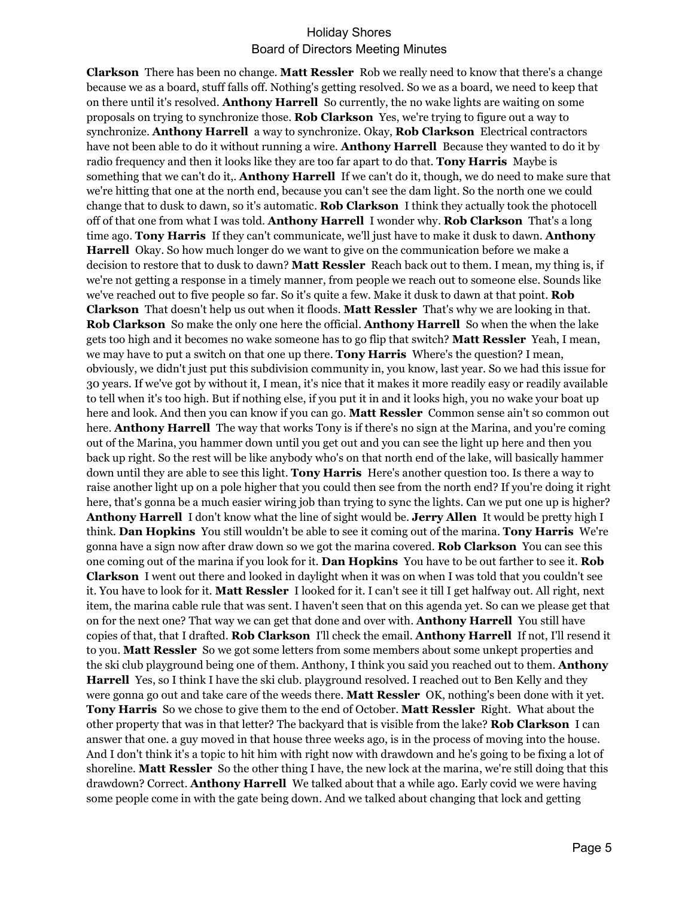**Clarkson** There has been no change. **Matt Ressler** Rob we really need to know that there's a change because we as a board, stuff falls off. Nothing's getting resolved. So we as a board, we need to keep that on there until it's resolved. **Anthony Harrell** So currently, the no wake lights are waiting on some proposals on trying to synchronize those. **Rob Clarkson** Yes, we're trying to figure out a way to synchronize. **Anthony Harrell** a way to synchronize. Okay, **Rob Clarkson** Electrical contractors have not been able to do it without running a wire. **Anthony Harrell** Because they wanted to do it by radio frequency and then it looks like they are too far apart to do that. **Tony Harris** Maybe is something that we can't do it,. **Anthony Harrell** If we can't do it, though, we do need to make sure that we're hitting that one at the north end, because you can't see the dam light. So the north one we could change that to dusk to dawn, so it's automatic. **Rob Clarkson** I think they actually took the photocell off of that one from what I was told. **Anthony Harrell** I wonder why. **Rob Clarkson** That's a long time ago. **Tony Harris** If they can't communicate, we'll just have to make it dusk to dawn. **Anthony Harrell** Okay. So how much longer do we want to give on the communication before we make a decision to restore that to dusk to dawn? **Matt Ressler** Reach back out to them. I mean, my thing is, if we're not getting a response in a timely manner, from people we reach out to someone else. Sounds like we've reached out to five people so far. So it's quite a few. Make it dusk to dawn at that point. **Rob Clarkson** That doesn't help us out when it floods. **Matt Ressler** That's why we are looking in that. **Rob Clarkson** So make the only one here the official. **Anthony Harrell** So when the when the lake gets too high and it becomes no wake someone has to go flip that switch? **Matt Ressler** Yeah, I mean, we may have to put a switch on that one up there. **Tony Harris** Where's the question? I mean, obviously, we didn't just put this subdivision community in, you know, last year. So we had this issue for 30 years. If we've got by without it, I mean, it's nice that it makes it more readily easy or readily available to tell when it's too high. But if nothing else, if you put it in and it looks high, you no wake your boat up here and look. And then you can know if you can go. **Matt Ressler** Common sense ain't so common out here. **Anthony Harrell** The way that works Tony is if there's no sign at the Marina, and you're coming out of the Marina, you hammer down until you get out and you can see the light up here and then you back up right. So the rest will be like anybody who's on that north end of the lake, will basically hammer down until they are able to see this light. **Tony Harris** Here's another question too. Is there a way to raise another light up on a pole higher that you could then see from the north end? If you're doing it right here, that's gonna be a much easier wiring job than trying to sync the lights. Can we put one up is higher? **Anthony Harrell** I don't know what the line of sight would be. **Jerry Allen** It would be pretty high I think. **Dan Hopkins** You still wouldn't be able to see it coming out of the marina. **Tony Harris** We're gonna have a sign now after draw down so we got the marina covered. **Rob Clarkson** You can see this one coming out of the marina if you look for it. **Dan Hopkins** You have to be out farther to see it. **Rob Clarkson** I went out there and looked in daylight when it was on when I was told that you couldn't see it. You have to look for it. **Matt Ressler** I looked for it. I can't see it till I get halfway out. All right, next item, the marina cable rule that was sent. I haven't seen that on this agenda yet. So can we please get that on for the next one? That way we can get that done and over with. **Anthony Harrell** You still have copies of that, that I drafted. **Rob Clarkson** I'll check the email. **Anthony Harrell** If not, I'll resend it to you. **Matt Ressler** So we got some letters from some members about some unkept properties and the ski club playground being one of them. Anthony, I think you said you reached out to them. **Anthony Harrell** Yes, so I think I have the ski club. playground resolved. I reached out to Ben Kelly and they were gonna go out and take care of the weeds there. **Matt Ressler** OK, nothing's been done with it yet. **Tony Harris** So we chose to give them to the end of October. **Matt Ressler** Right. What about the other property that was in that letter? The backyard that is visible from the lake? **Rob Clarkson** I can answer that one. a guy moved in that house three weeks ago, is in the process of moving into the house. And I don't think it's a topic to hit him with right now with drawdown and he's going to be fixing a lot of shoreline. **Matt Ressler** So the other thing I have, the new lock at the marina, we're still doing that this drawdown? Correct. **Anthony Harrell** We talked about that a while ago. Early covid we were having some people come in with the gate being down. And we talked about changing that lock and getting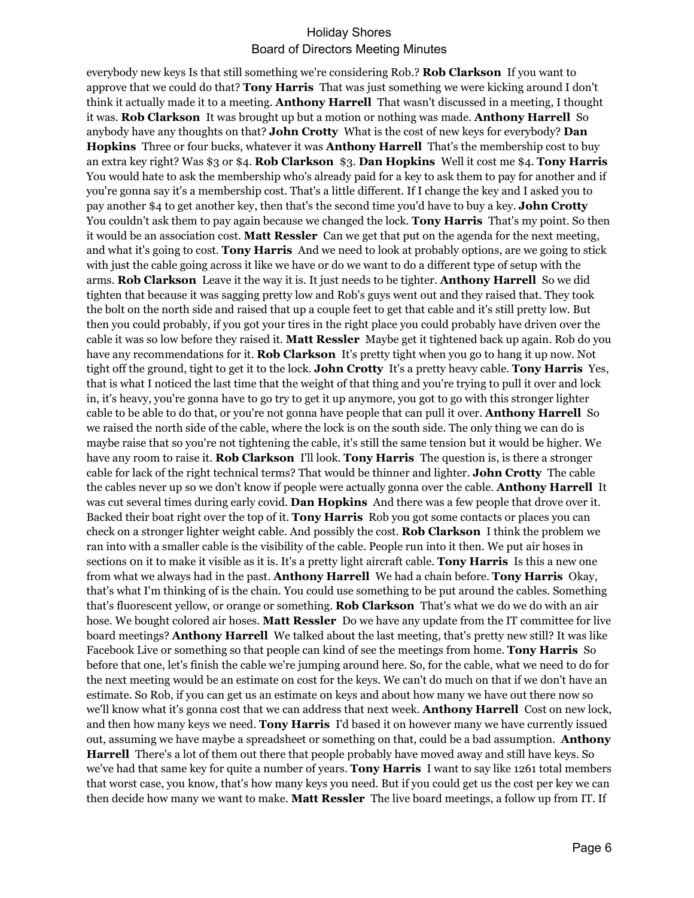everybody new keys Is that still something we're considering Rob.? **Rob Clarkson** If you want to approve that we could do that? **Tony Harris** That was just something we were kicking around I don't think it actually made it to a meeting. **Anthony Harrell** That wasn't discussed in a meeting, I thought it was. **Rob Clarkson** It was brought up but a motion or nothing was made. **Anthony Harrell** So anybody have any thoughts on that? **John Crotty** What is the cost of new keys for everybody? **Dan Hopkins** Three or four bucks, whatever it was **Anthony Harrell** That's the membership cost to buy an extra key right? Was \$3 or \$4. **Rob Clarkson** \$3. **Dan Hopkins** Well it cost me \$4. **Tony Harris**  You would hate to ask the membership who's already paid for a key to ask them to pay for another and if you're gonna say it's a membership cost. That's a little different. If I change the key and I asked you to pay another \$4 to get another key, then that's the second time you'd have to buy a key. **John Crotty**  You couldn't ask them to pay again because we changed the lock. **Tony Harris** That's my point. So then it would be an association cost. **Matt Ressler** Can we get that put on the agenda for the next meeting, and what it's going to cost. **Tony Harris** And we need to look at probably options, are we going to stick with just the cable going across it like we have or do we want to do a different type of setup with the arms. **Rob Clarkson** Leave it the way it is. It just needs to be tighter. **Anthony Harrell** So we did tighten that because it was sagging pretty low and Rob's guys went out and they raised that. They took the bolt on the north side and raised that up a couple feet to get that cable and it's still pretty low. But then you could probably, if you got your tires in the right place you could probably have driven over the cable it was so low before they raised it. **Matt Ressler** Maybe get it tightened back up again. Rob do you have any recommendations for it. **Rob Clarkson** It's pretty tight when you go to hang it up now. Not tight off the ground, tight to get it to the lock. **John Crotty** It's a pretty heavy cable. **Tony Harris** Yes, that is what I noticed the last time that the weight of that thing and you're trying to pull it over and lock in, it's heavy, you're gonna have to go try to get it up anymore, you got to go with this stronger lighter cable to be able to do that, or you're not gonna have people that can pull it over. **Anthony Harrell** So we raised the north side of the cable, where the lock is on the south side. The only thing we can do is maybe raise that so you're not tightening the cable, it's still the same tension but it would be higher. We have any room to raise it. **Rob Clarkson** I'll look. **Tony Harris** The question is, is there a stronger cable for lack of the right technical terms? That would be thinner and lighter. **John Crotty** The cable the cables never up so we don't know if people were actually gonna over the cable. **Anthony Harrell** It was cut several times during early covid. **Dan Hopkins** And there was a few people that drove over it. Backed their boat right over the top of it. **Tony Harris** Rob you got some contacts or places you can check on a stronger lighter weight cable. And possibly the cost. **Rob Clarkson** I think the problem we ran into with a smaller cable is the visibility of the cable. People run into it then. We put air hoses in sections 0n it to make it visible as it is. It's a pretty light aircraft cable. **Tony Harris** Is this a new one from what we always had in the past. **Anthony Harrell** We had a chain before. **Tony Harris** Okay, that's what I'm thinking of is the chain. You could use something to be put around the cables. Something that's fluorescent yellow, or orange or something. **Rob Clarkson** That's what we do we do with an air hose. We bought colored air hoses. **Matt Ressler** Do we have any update from the IT committee for live board meetings? **Anthony Harrell** We talked about the last meeting, that's pretty new still? It was like Facebook Live or something so that people can kind of see the meetings from home. **Tony Harris** So before that one, let's finish the cable we're jumping around here. So, for the cable, what we need to do for the next meeting would be an estimate on cost for the keys. We can't do much on that if we don't have an estimate. So Rob, if you can get us an estimate on keys and about how many we have out there now so we'll know what it's gonna cost that we can address that next week. **Anthony Harrell** Cost on new lock, and then how many keys we need. **Tony Harris** I'd based it on however many we have currently issued out, assuming we have maybe a spreadsheet or something on that, could be a bad assumption. **Anthony Harrell** There's a lot of them out there that people probably have moved away and still have keys. So we've had that same key for quite a number of years. **Tony Harris** I want to say like 1261 total members that worst case, you know, that's how many keys you need. But if you could get us the cost per key we can then decide how many we want to make. **Matt Ressler** The live board meetings, a follow up from IT. If